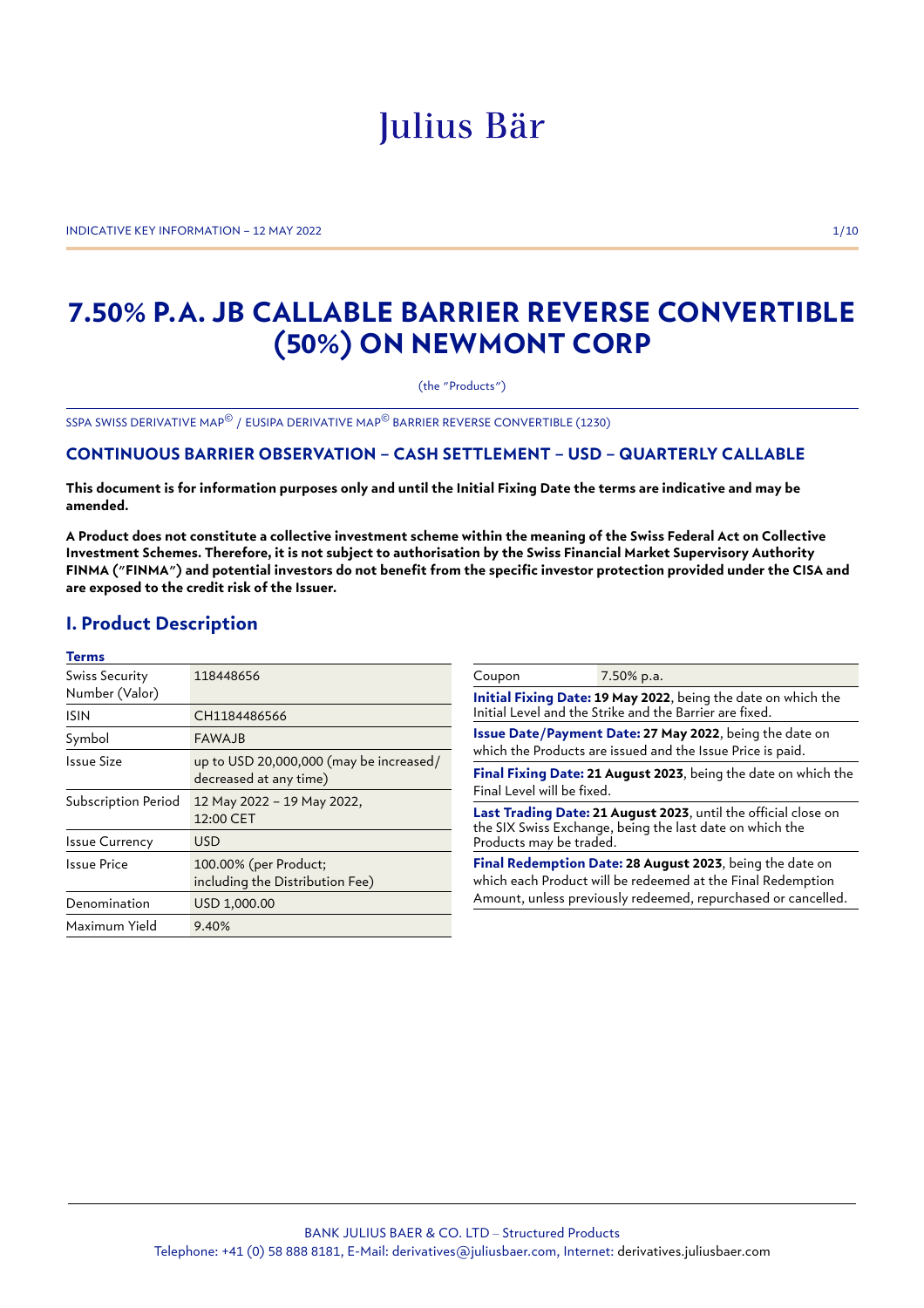# Julius Bär

INDICATIVE KEY INFORMATION – 12 MAY 2022 1/10

# **7.50% P.A. JB CALLABLE BARRIER REVERSE CONVERTIBLE (50%) ON NEWMONT CORP**

(the "Products")

SSPA SWISS DERIVATIVE MAP© / EUSIPA DERIVATIVE MAP© BARRIER REVERSE CONVERTIBLE (1230)

# **CONTINUOUS BARRIER OBSERVATION – CASH SETTLEMENT – USD – QUARTERLY CALLABLE**

**This document is for information purposes only and until the Initial Fixing Date the terms are indicative and may be amended.**

**A Product does not constitute a collective investment scheme within the meaning of the Swiss Federal Act on Collective Investment Schemes. Therefore, it is not subject to authorisation by the Swiss Financial Market Supervisory Authority FINMA ("FINMA") and potential investors do not benefit from the specific investor protection provided under the CISA and are exposed to the credit risk of the Issuer.**

# **I. Product Description**

| <b>Terms</b>          |                                                                   |                                                                                                                                                       |                                                               |  |
|-----------------------|-------------------------------------------------------------------|-------------------------------------------------------------------------------------------------------------------------------------------------------|---------------------------------------------------------------|--|
| Swiss Security        | 118448656                                                         | Coupon                                                                                                                                                | 7.50% p.a.                                                    |  |
| Number (Valor)        |                                                                   |                                                                                                                                                       | Initial Fixing Date: 19 May 2022, being the date on which the |  |
| <b>ISIN</b>           | CH1184486566                                                      | Initial Level and the Strike and the Barrier are fixed.                                                                                               |                                                               |  |
| Symbol                | <b>FAWAJB</b>                                                     | Issue Date/Payment Date: 27 May 2022, being the date on                                                                                               |                                                               |  |
| Issue Size            | up to USD 20,000,000 (may be increased/<br>decreased at any time) | which the Products are issued and the Issue Price is paid.<br>Final Fixing Date: 21 August 2023, being the date on which the                          |                                                               |  |
| Subscription Period   | 12 May 2022 - 19 May 2022,                                        | Final Level will be fixed.                                                                                                                            |                                                               |  |
|                       | 12:00 CET                                                         | Last Trading Date: 21 August 2023, until the official close on<br>the SIX Swiss Exchange, being the last date on which the<br>Products may be traded. |                                                               |  |
| <b>Issue Currency</b> | <b>USD</b>                                                        |                                                                                                                                                       |                                                               |  |
| <b>Issue Price</b>    | 100.00% (per Product;<br>including the Distribution Fee)          | Final Redemption Date: 28 August 2023, being the date on<br>which each Product will be redeemed at the Final Redemption                               |                                                               |  |
| Denomination          | USD 1,000.00                                                      |                                                                                                                                                       | Amount, unless previously redeemed, repurchased or cancelled. |  |
| Maximum Yield         | 9.40%                                                             |                                                                                                                                                       |                                                               |  |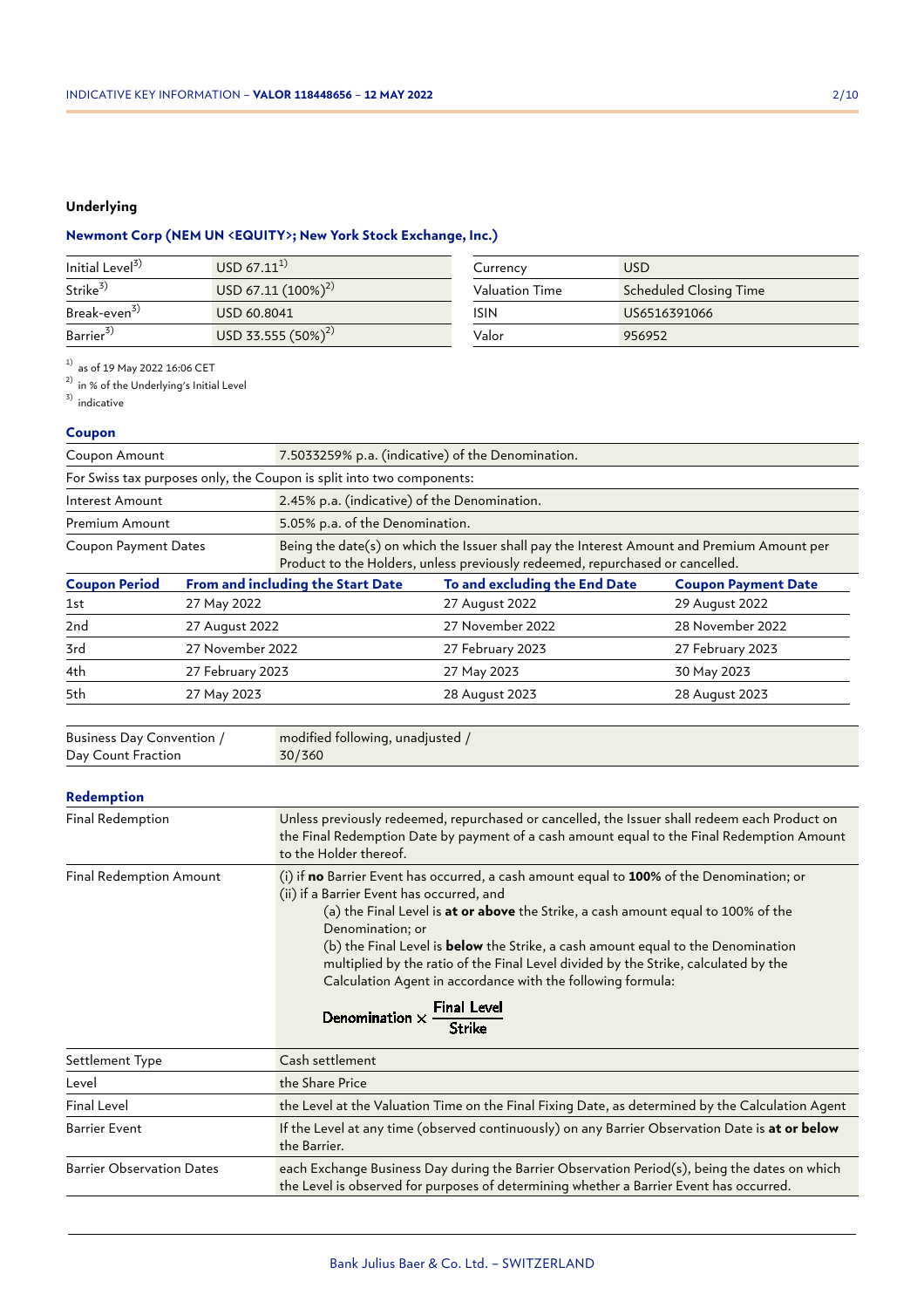# **Underlying**

# **Newmont Corp (NEM UN <EQUITY>; New York Stock Exchange, Inc.)**

| Initial Level <sup>3)</sup> | $USD 67.11^{1}$         | Currency       | <b>USD</b>             |
|-----------------------------|-------------------------|----------------|------------------------|
| Strike <sup>3)</sup>        | USD 67.11 $(100\%)^{2}$ | Valuation Time | Scheduled Closing Time |
| Break-even <sup>3)</sup>    | USD 60.8041             | ISIN           | US6516391066           |
| Barrier <sup>3)</sup>       | USD 33.555 $(50\%)^{2}$ | Valor          | 956952                 |

 $^{1)}$  as of 19 May 2022 16:06 CET

 $^{2)}$  in % of the Underlying's Initial Level

 $3)$  indicative

# **Coupon**

| Coupon Amount               |                  | 7.5033259% p.a. (indicative) of the Denomination.                                                                                                                           |                               |                            |  |
|-----------------------------|------------------|-----------------------------------------------------------------------------------------------------------------------------------------------------------------------------|-------------------------------|----------------------------|--|
|                             |                  | For Swiss tax purposes only, the Coupon is split into two components:                                                                                                       |                               |                            |  |
| Interest Amount             |                  | 2.45% p.a. (indicative) of the Denomination.                                                                                                                                |                               |                            |  |
| Premium Amount              |                  | 5.05% p.a. of the Denomination.                                                                                                                                             |                               |                            |  |
| <b>Coupon Payment Dates</b> |                  | Being the date(s) on which the Issuer shall pay the Interest Amount and Premium Amount per<br>Product to the Holders, unless previously redeemed, repurchased or cancelled. |                               |                            |  |
| <b>Coupon Period</b>        |                  | From and including the Start Date                                                                                                                                           | To and excluding the End Date | <b>Coupon Payment Date</b> |  |
| 1st                         | 27 May 2022      |                                                                                                                                                                             | 27 August 2022                | 29 August 2022             |  |
| 2nd                         | 27 August 2022   |                                                                                                                                                                             | 27 November 2022              | 28 November 2022           |  |
| 3rd                         | 27 November 2022 |                                                                                                                                                                             | 27 February 2023              | 27 February 2023           |  |
| 4th                         | 27 February 2023 |                                                                                                                                                                             | 27 May 2023                   | 30 May 2023                |  |
| 5th                         | 27 May 2023      |                                                                                                                                                                             | 28 August 2023                | 28 August 2023             |  |
|                             |                  |                                                                                                                                                                             |                               |                            |  |

| Business Day Convention / | modified following, unadjusted / |
|---------------------------|----------------------------------|
| Day Count Fraction        | 30/360                           |

## **Redemption**

| Final Redemption                 | Unless previously redeemed, repurchased or cancelled, the Issuer shall redeem each Product on<br>the Final Redemption Date by payment of a cash amount equal to the Final Redemption Amount<br>to the Holder thereof.                                                                                                                                                                                                                                                                                                                                       |  |  |
|----------------------------------|-------------------------------------------------------------------------------------------------------------------------------------------------------------------------------------------------------------------------------------------------------------------------------------------------------------------------------------------------------------------------------------------------------------------------------------------------------------------------------------------------------------------------------------------------------------|--|--|
| <b>Final Redemption Amount</b>   | (i) if no Barrier Event has occurred, a cash amount equal to 100% of the Denomination; or<br>(ii) if a Barrier Event has occurred, and<br>(a) the Final Level is <b>at or above</b> the Strike, a cash amount equal to 100% of the<br>Denomination; or<br>(b) the Final Level is <b>below</b> the Strike, a cash amount equal to the Denomination<br>multiplied by the ratio of the Final Level divided by the Strike, calculated by the<br>Calculation Agent in accordance with the following formula:<br>Denomination $\times \frac{Final Level}{Strike}$ |  |  |
| Settlement Type                  | Cash settlement                                                                                                                                                                                                                                                                                                                                                                                                                                                                                                                                             |  |  |
| Level                            | the Share Price                                                                                                                                                                                                                                                                                                                                                                                                                                                                                                                                             |  |  |
| Final Level                      | the Level at the Valuation Time on the Final Fixing Date, as determined by the Calculation Agent                                                                                                                                                                                                                                                                                                                                                                                                                                                            |  |  |
| <b>Barrier Event</b>             | If the Level at any time (observed continuously) on any Barrier Observation Date is at or below<br>the Barrier.                                                                                                                                                                                                                                                                                                                                                                                                                                             |  |  |
| <b>Barrier Observation Dates</b> | each Exchange Business Day during the Barrier Observation Period(s), being the dates on which<br>the Level is observed for purposes of determining whether a Barrier Event has occurred.                                                                                                                                                                                                                                                                                                                                                                    |  |  |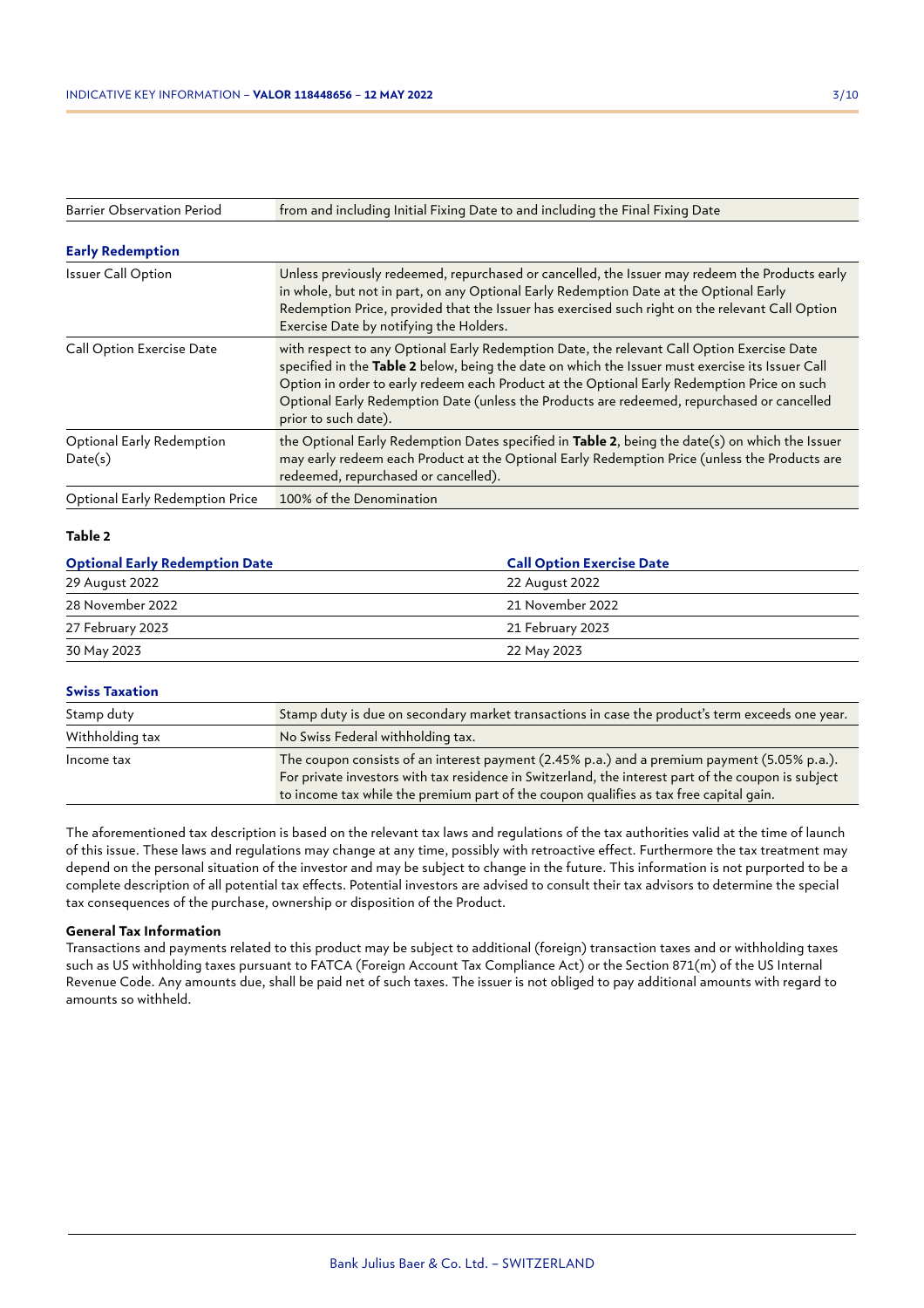| <b>Barrier Observation Period</b>      | from and including Initial Fixing Date to and including the Final Fixing Date                                                                                                                                                                                                                                                                                                                                       |
|----------------------------------------|---------------------------------------------------------------------------------------------------------------------------------------------------------------------------------------------------------------------------------------------------------------------------------------------------------------------------------------------------------------------------------------------------------------------|
| <b>Early Redemption</b>                |                                                                                                                                                                                                                                                                                                                                                                                                                     |
| <b>Issuer Call Option</b>              | Unless previously redeemed, repurchased or cancelled, the Issuer may redeem the Products early<br>in whole, but not in part, on any Optional Early Redemption Date at the Optional Early<br>Redemption Price, provided that the Issuer has exercised such right on the relevant Call Option<br>Exercise Date by notifying the Holders.                                                                              |
| Call Option Exercise Date              | with respect to any Optional Early Redemption Date, the relevant Call Option Exercise Date<br>specified in the Table 2 below, being the date on which the Issuer must exercise its Issuer Call<br>Option in order to early redeem each Product at the Optional Early Redemption Price on such<br>Optional Early Redemption Date (unless the Products are redeemed, repurchased or cancelled<br>prior to such date). |
| Optional Early Redemption<br>Date(s)   | the Optional Early Redemption Dates specified in Table 2, being the date(s) on which the Issuer<br>may early redeem each Product at the Optional Early Redemption Price (unless the Products are<br>redeemed, repurchased or cancelled).                                                                                                                                                                            |
| <b>Optional Early Redemption Price</b> | 100% of the Denomination                                                                                                                                                                                                                                                                                                                                                                                            |

## **Table 2**

| <b>Call Option Exercise Date</b> |  |  |
|----------------------------------|--|--|
| 22 August 2022                   |  |  |
| 21 November 2022                 |  |  |
| 21 February 2023                 |  |  |
| 22 May 2023                      |  |  |
|                                  |  |  |

# **Swiss Taxation**

| Stamp duty      | Stamp duty is due on secondary market transactions in case the product's term exceeds one year.                                                                                                                                                                                              |
|-----------------|----------------------------------------------------------------------------------------------------------------------------------------------------------------------------------------------------------------------------------------------------------------------------------------------|
| Withholding tax | No Swiss Federal withholding tax.                                                                                                                                                                                                                                                            |
| Income tax      | The coupon consists of an interest payment (2.45% p.a.) and a premium payment (5.05% p.a.).<br>For private investors with tax residence in Switzerland, the interest part of the coupon is subject<br>to income tax while the premium part of the coupon qualifies as tax free capital gain. |

The aforementioned tax description is based on the relevant tax laws and regulations of the tax authorities valid at the time of launch of this issue. These laws and regulations may change at any time, possibly with retroactive effect. Furthermore the tax treatment may depend on the personal situation of the investor and may be subject to change in the future. This information is not purported to be a complete description of all potential tax effects. Potential investors are advised to consult their tax advisors to determine the special tax consequences of the purchase, ownership or disposition of the Product.

#### **General Tax Information**

Transactions and payments related to this product may be subject to additional (foreign) transaction taxes and or withholding taxes such as US withholding taxes pursuant to FATCA (Foreign Account Tax Compliance Act) or the Section 871(m) of the US Internal Revenue Code. Any amounts due, shall be paid net of such taxes. The issuer is not obliged to pay additional amounts with regard to amounts so withheld.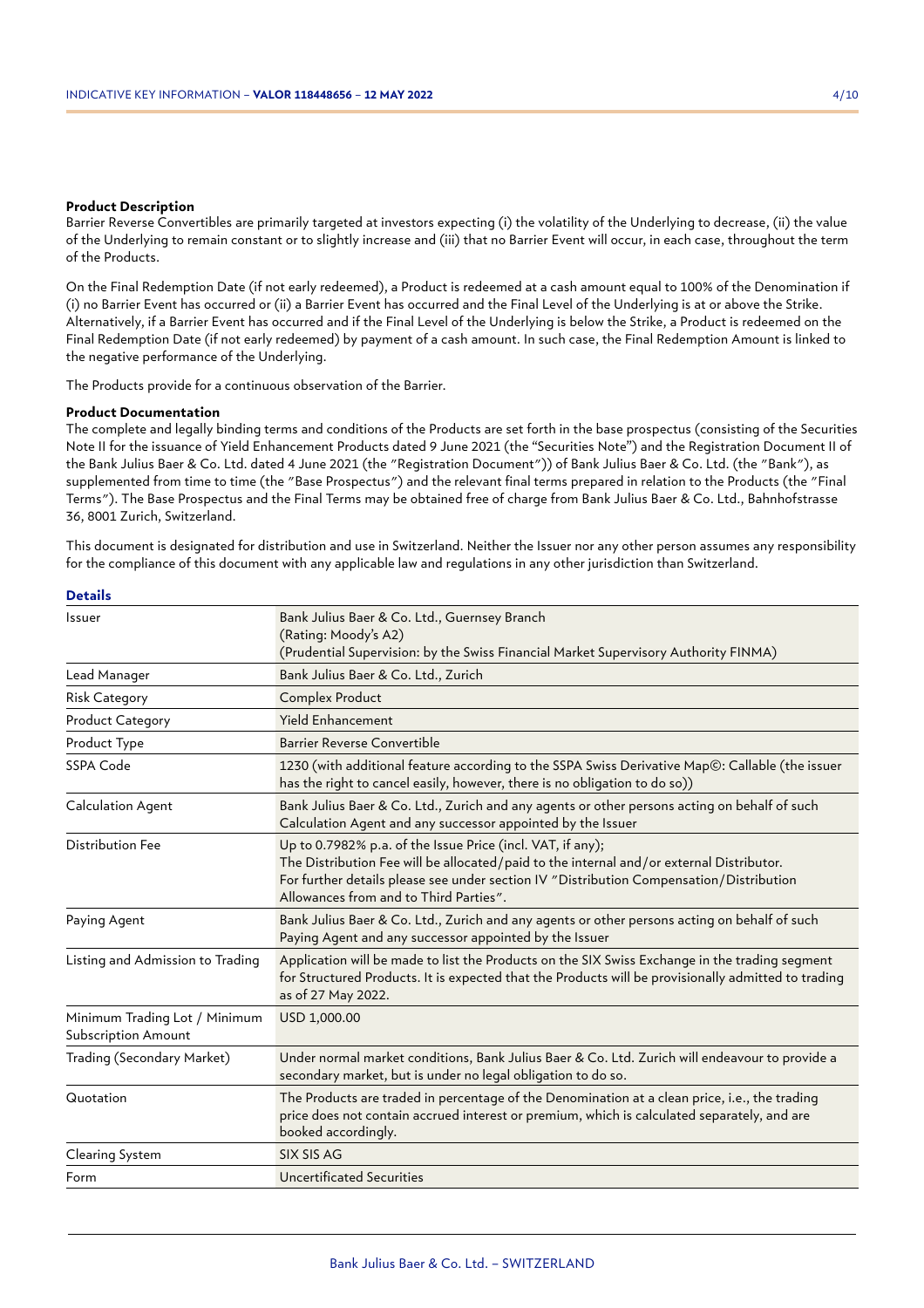#### **Product Description**

Barrier Reverse Convertibles are primarily targeted at investors expecting (i) the volatility of the Underlying to decrease, (ii) the value of the Underlying to remain constant or to slightly increase and (iii) that no Barrier Event will occur, in each case, throughout the term of the Products.

On the Final Redemption Date (if not early redeemed), a Product is redeemed at a cash amount equal to 100% of the Denomination if (i) no Barrier Event has occurred or (ii) a Barrier Event has occurred and the Final Level of the Underlying is at or above the Strike. Alternatively, if a Barrier Event has occurred and if the Final Level of the Underlying is below the Strike, a Product is redeemed on the Final Redemption Date (if not early redeemed) by payment of a cash amount. In such case, the Final Redemption Amount is linked to the negative performance of the Underlying.

The Products provide for a continuous observation of the Barrier.

#### **Product Documentation**

The complete and legally binding terms and conditions of the Products are set forth in the base prospectus (consisting of the Securities Note II for the issuance of Yield Enhancement Products dated 9 June 2021 (the "Securities Note") and the Registration Document II of the Bank Julius Baer & Co. Ltd. dated 4 June 2021 (the "Registration Document")) of Bank Julius Baer & Co. Ltd. (the "Bank"), as supplemented from time to time (the "Base Prospectus") and the relevant final terms prepared in relation to the Products (the "Final Terms"). The Base Prospectus and the Final Terms may be obtained free of charge from Bank Julius Baer & Co. Ltd., Bahnhofstrasse 36, 8001 Zurich, Switzerland.

This document is designated for distribution and use in Switzerland. Neither the Issuer nor any other person assumes any responsibility for the compliance of this document with any applicable law and regulations in any other jurisdiction than Switzerland.

| Issuer                                                      | Bank Julius Baer & Co. Ltd., Guernsey Branch<br>(Rating: Moody's A2)<br>(Prudential Supervision: by the Swiss Financial Market Supervisory Authority FINMA)                                                                                                                                 |
|-------------------------------------------------------------|---------------------------------------------------------------------------------------------------------------------------------------------------------------------------------------------------------------------------------------------------------------------------------------------|
| Lead Manager                                                | Bank Julius Baer & Co. Ltd., Zurich                                                                                                                                                                                                                                                         |
| <b>Risk Category</b>                                        | Complex Product                                                                                                                                                                                                                                                                             |
| <b>Product Category</b>                                     | <b>Yield Enhancement</b>                                                                                                                                                                                                                                                                    |
| Product Type                                                | <b>Barrier Reverse Convertible</b>                                                                                                                                                                                                                                                          |
| SSPA Code                                                   | 1230 (with additional feature according to the SSPA Swiss Derivative Map©: Callable (the issuer<br>has the right to cancel easily, however, there is no obligation to do so))                                                                                                               |
| <b>Calculation Agent</b>                                    | Bank Julius Baer & Co. Ltd., Zurich and any agents or other persons acting on behalf of such<br>Calculation Agent and any successor appointed by the Issuer                                                                                                                                 |
| <b>Distribution Fee</b>                                     | Up to 0.7982% p.a. of the Issue Price (incl. VAT, if any);<br>The Distribution Fee will be allocated/paid to the internal and/or external Distributor.<br>For further details please see under section IV "Distribution Compensation/Distribution<br>Allowances from and to Third Parties". |
| Paying Agent                                                | Bank Julius Baer & Co. Ltd., Zurich and any agents or other persons acting on behalf of such<br>Paying Agent and any successor appointed by the Issuer                                                                                                                                      |
| Listing and Admission to Trading                            | Application will be made to list the Products on the SIX Swiss Exchange in the trading segment<br>for Structured Products. It is expected that the Products will be provisionally admitted to trading<br>as of 27 May 2022.                                                                 |
| Minimum Trading Lot / Minimum<br><b>Subscription Amount</b> | USD 1,000.00                                                                                                                                                                                                                                                                                |
| Trading (Secondary Market)                                  | Under normal market conditions, Bank Julius Baer & Co. Ltd. Zurich will endeavour to provide a<br>secondary market, but is under no legal obligation to do so.                                                                                                                              |
| Quotation                                                   | The Products are traded in percentage of the Denomination at a clean price, i.e., the trading<br>price does not contain accrued interest or premium, which is calculated separately, and are<br>booked accordingly.                                                                         |
| Clearing System                                             | SIX SIS AG                                                                                                                                                                                                                                                                                  |
| Form                                                        | <b>Uncertificated Securities</b>                                                                                                                                                                                                                                                            |
|                                                             |                                                                                                                                                                                                                                                                                             |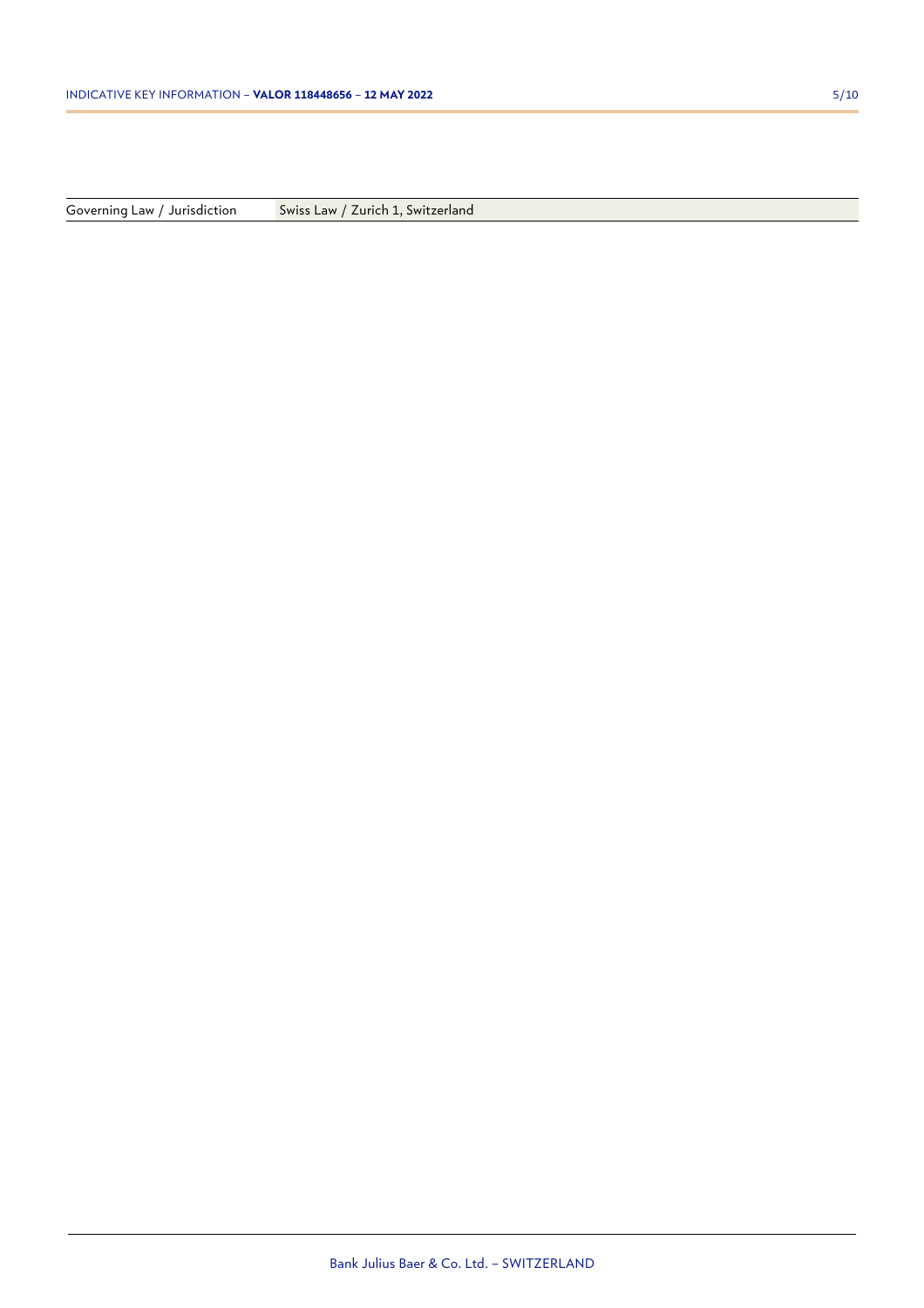Governing Law / Jurisdiction Swiss Law / Zurich 1, Switzerland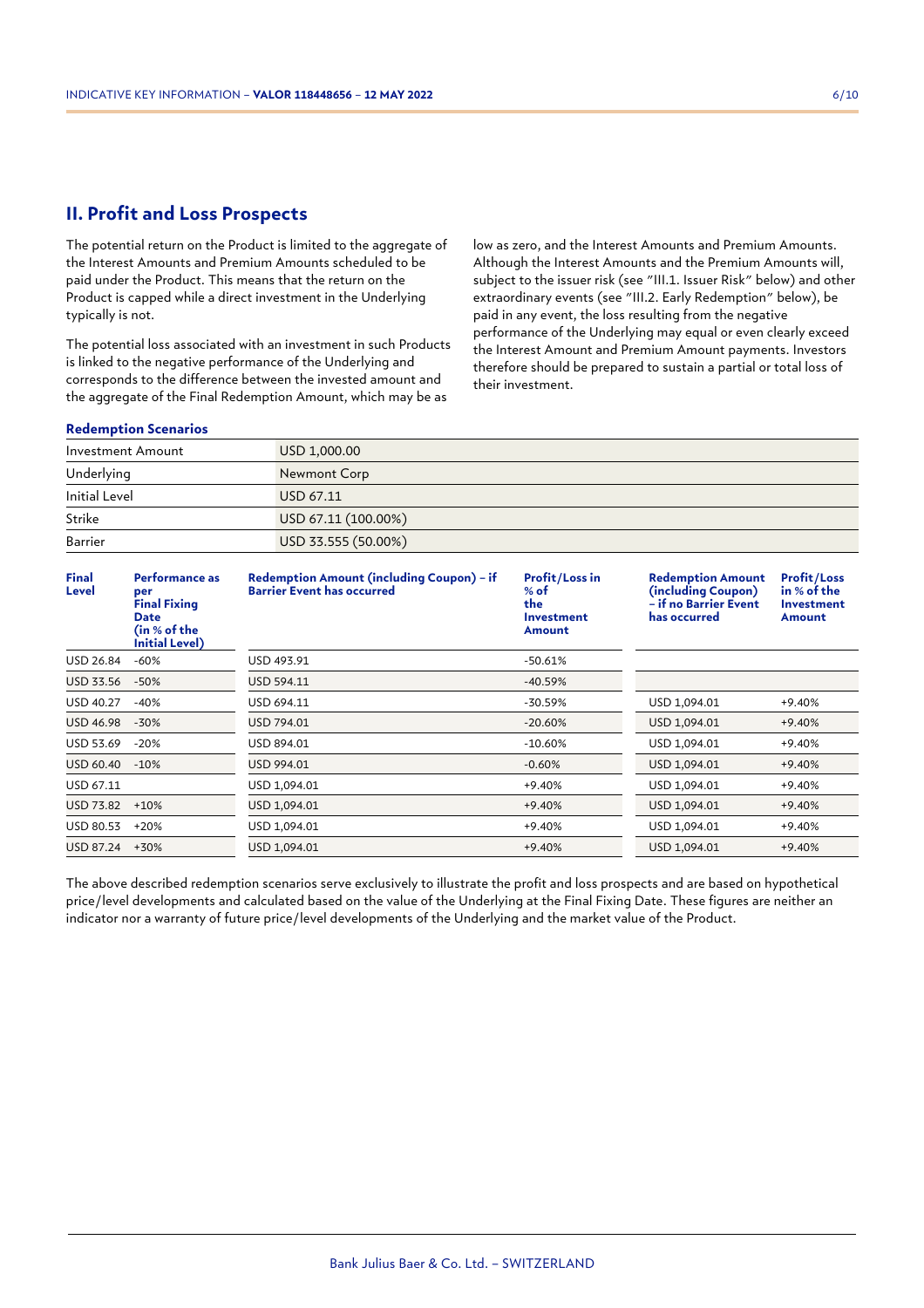# **II. Profit and Loss Prospects**

The potential return on the Product is limited to the aggregate of the Interest Amounts and Premium Amounts scheduled to be paid under the Product. This means that the return on the Product is capped while a direct investment in the Underlying typically is not.

The potential loss associated with an investment in such Products is linked to the negative performance of the Underlying and corresponds to the difference between the invested amount and the aggregate of the Final Redemption Amount, which may be as

low as zero, and the Interest Amounts and Premium Amounts. Although the Interest Amounts and the Premium Amounts will, subject to the issuer risk (see "III.1. Issuer Risk" below) and other extraordinary events (see "III.2. Early Redemption" below), be paid in any event, the loss resulting from the negative performance of the Underlying may equal or even clearly exceed the Interest Amount and Premium Amount payments. Investors therefore should be prepared to sustain a partial or total loss of their investment.

## **Redemption Scenarios**

| Investment Amount | USD 1,000.00        |
|-------------------|---------------------|
| Underlying        | Newmont Corp        |
| Initial Level     | USD 67.11           |
| Strike            | USD 67.11 (100.00%) |
| Barrier           | USD 33.555 (50.00%) |

| <b>Final</b><br>Level | Performance as<br>per<br><b>Final Fixing</b><br><b>Date</b><br>(in % of the<br>Initial Level) | Redemption Amount (including Coupon) - if<br><b>Barrier Event has occurred</b> | <b>Profit/Loss in</b><br>$%$ of<br>the.<br>Investment<br>Amount | <b>Redemption Amount</b><br>(including Coupon)<br>– if no Barrier Event<br>has occurred | <b>Profit/Loss</b><br>in % of the<br><b>Investment</b><br>Amount |
|-----------------------|-----------------------------------------------------------------------------------------------|--------------------------------------------------------------------------------|-----------------------------------------------------------------|-----------------------------------------------------------------------------------------|------------------------------------------------------------------|
| USD 26.84             | $-60%$                                                                                        | USD 493.91                                                                     | $-50.61%$                                                       |                                                                                         |                                                                  |
| USD 33.56             | $-50%$                                                                                        | USD 594.11                                                                     | $-40.59%$                                                       |                                                                                         |                                                                  |
| USD 40.27             | $-40%$                                                                                        | USD 694.11                                                                     | -30.59%                                                         | USD 1,094.01                                                                            | +9.40%                                                           |
| <b>USD 46.98</b>      | $-30%$                                                                                        | USD 794.01                                                                     | $-20.60%$                                                       | USD 1,094.01                                                                            | $+9.40%$                                                         |
| USD 53.69             | $-20%$                                                                                        | USD 894.01                                                                     | $-10.60%$                                                       | USD 1,094.01                                                                            | $+9.40%$                                                         |
| USD 60.40             | $-10%$                                                                                        | USD 994.01                                                                     | $-0.60%$                                                        | USD 1,094.01                                                                            | $+9.40%$                                                         |
| USD 67.11             |                                                                                               | USD 1,094.01                                                                   | $+9.40%$                                                        | USD 1,094.01                                                                            | +9.40%                                                           |
| USD 73.82             | $+10%$                                                                                        | USD 1,094.01                                                                   | $+9.40%$                                                        | USD 1,094.01                                                                            | $+9.40%$                                                         |
| USD 80.53             | $+20%$                                                                                        | USD 1,094.01                                                                   | +9.40%                                                          | USD 1,094.01                                                                            | +9.40%                                                           |
| USD 87.24             | +30%                                                                                          | USD 1,094.01                                                                   | $+9.40%$                                                        | USD 1,094.01                                                                            | $+9.40%$                                                         |

The above described redemption scenarios serve exclusively to illustrate the profit and loss prospects and are based on hypothetical price/level developments and calculated based on the value of the Underlying at the Final Fixing Date. These figures are neither an indicator nor a warranty of future price/level developments of the Underlying and the market value of the Product.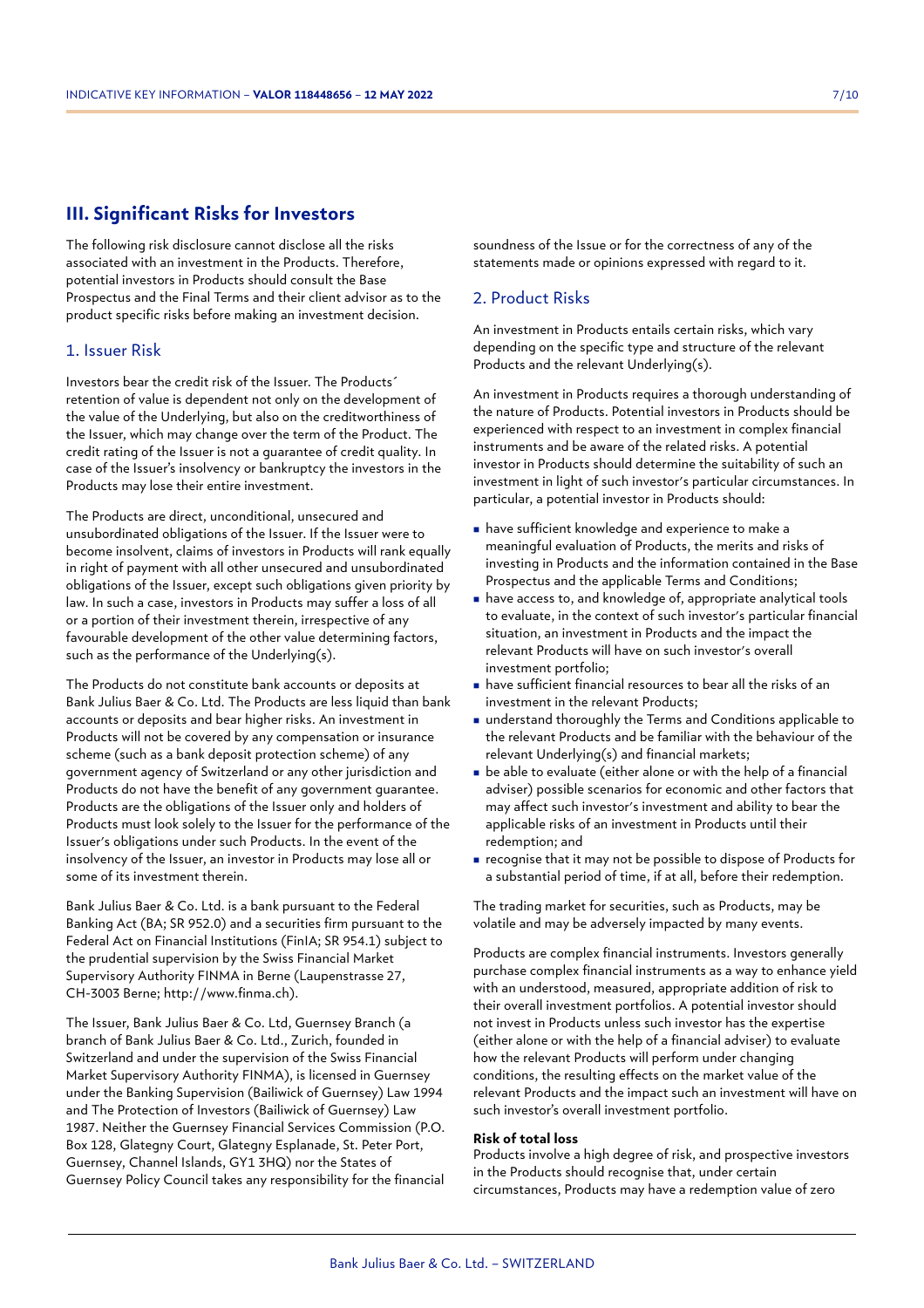# **III. Significant Risks for Investors**

The following risk disclosure cannot disclose all the risks associated with an investment in the Products. Therefore, potential investors in Products should consult the Base Prospectus and the Final Terms and their client advisor as to the product specific risks before making an investment decision.

## 1. Issuer Risk

Investors bear the credit risk of the Issuer. The Products´ retention of value is dependent not only on the development of the value of the Underlying, but also on the creditworthiness of the Issuer, which may change over the term of the Product. The credit rating of the Issuer is not a guarantee of credit quality. In case of the Issuer's insolvency or bankruptcy the investors in the Products may lose their entire investment.

The Products are direct, unconditional, unsecured and unsubordinated obligations of the Issuer. If the Issuer were to become insolvent, claims of investors in Products will rank equally in right of payment with all other unsecured and unsubordinated obligations of the Issuer, except such obligations given priority by law. In such a case, investors in Products may suffer a loss of all or a portion of their investment therein, irrespective of any favourable development of the other value determining factors, such as the performance of the Underlying(s).

The Products do not constitute bank accounts or deposits at Bank Julius Baer & Co. Ltd. The Products are less liquid than bank accounts or deposits and bear higher risks. An investment in Products will not be covered by any compensation or insurance scheme (such as a bank deposit protection scheme) of any government agency of Switzerland or any other jurisdiction and Products do not have the benefit of any government guarantee. Products are the obligations of the Issuer only and holders of Products must look solely to the Issuer for the performance of the Issuer's obligations under such Products. In the event of the insolvency of the Issuer, an investor in Products may lose all or some of its investment therein.

Bank Julius Baer & Co. Ltd. is a bank pursuant to the Federal Banking Act (BA; SR 952.0) and a securities firm pursuant to the Federal Act on Financial Institutions (FinIA; SR 954.1) subject to the prudential supervision by the Swiss Financial Market Supervisory Authority FINMA in Berne (Laupenstrasse 27, CH-3003 Berne; http://www.finma.ch).

The Issuer, Bank Julius Baer & Co. Ltd, Guernsey Branch (a branch of Bank Julius Baer & Co. Ltd., Zurich, founded in Switzerland and under the supervision of the Swiss Financial Market Supervisory Authority FINMA), is licensed in Guernsey under the Banking Supervision (Bailiwick of Guernsey) Law 1994 and The Protection of Investors (Bailiwick of Guernsey) Law 1987. Neither the Guernsey Financial Services Commission (P.O. Box 128, Glategny Court, Glategny Esplanade, St. Peter Port, Guernsey, Channel Islands, GY1 3HQ) nor the States of Guernsey Policy Council takes any responsibility for the financial soundness of the Issue or for the correctness of any of the statements made or opinions expressed with regard to it.

# 2. Product Risks

An investment in Products entails certain risks, which vary depending on the specific type and structure of the relevant Products and the relevant Underlying(s).

An investment in Products requires a thorough understanding of the nature of Products. Potential investors in Products should be experienced with respect to an investment in complex financial instruments and be aware of the related risks. A potential investor in Products should determine the suitability of such an investment in light of such investor's particular circumstances. In particular, a potential investor in Products should:

- <sup>n</sup> have sufficient knowledge and experience to make a meaningful evaluation of Products, the merits and risks of investing in Products and the information contained in the Base Prospectus and the applicable Terms and Conditions;
- <sup>n</sup> have access to, and knowledge of, appropriate analytical tools to evaluate, in the context of such investor's particular financial situation, an investment in Products and the impact the relevant Products will have on such investor's overall investment portfolio;
- <sup>n</sup> have sufficient financial resources to bear all the risks of an investment in the relevant Products;
- understand thoroughly the Terms and Conditions applicable to the relevant Products and be familiar with the behaviour of the relevant Underlying(s) and financial markets;
- $\blacksquare$  be able to evaluate (either alone or with the help of a financial adviser) possible scenarios for economic and other factors that may affect such investor's investment and ability to bear the applicable risks of an investment in Products until their redemption; and
- <sup>n</sup> recognise that it may not be possible to dispose of Products for a substantial period of time, if at all, before their redemption.

The trading market for securities, such as Products, may be volatile and may be adversely impacted by many events.

Products are complex financial instruments. Investors generally purchase complex financial instruments as a way to enhance yield with an understood, measured, appropriate addition of risk to their overall investment portfolios. A potential investor should not invest in Products unless such investor has the expertise (either alone or with the help of a financial adviser) to evaluate how the relevant Products will perform under changing conditions, the resulting effects on the market value of the relevant Products and the impact such an investment will have on such investor's overall investment portfolio.

## **Risk of total loss**

Products involve a high degree of risk, and prospective investors in the Products should recognise that, under certain circumstances, Products may have a redemption value of zero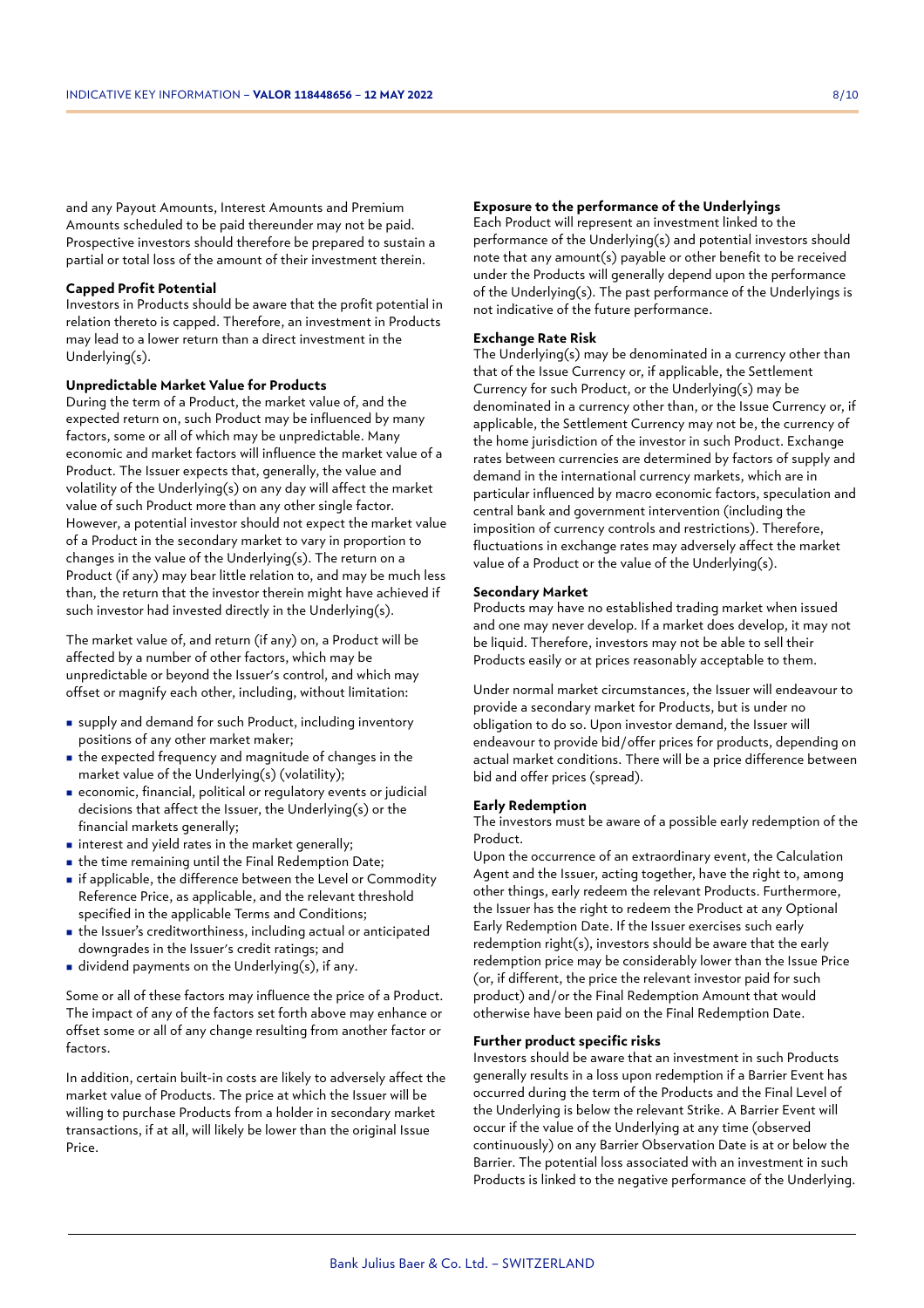and any Payout Amounts, Interest Amounts and Premium Amounts scheduled to be paid thereunder may not be paid. Prospective investors should therefore be prepared to sustain a partial or total loss of the amount of their investment therein.

## **Capped Profit Potential**

Investors in Products should be aware that the profit potential in relation thereto is capped. Therefore, an investment in Products may lead to a lower return than a direct investment in the Underlying(s).

## **Unpredictable Market Value for Products**

During the term of a Product, the market value of, and the expected return on, such Product may be influenced by many factors, some or all of which may be unpredictable. Many economic and market factors will influence the market value of a Product. The Issuer expects that, generally, the value and volatility of the Underlying(s) on any day will affect the market value of such Product more than any other single factor. However, a potential investor should not expect the market value of a Product in the secondary market to vary in proportion to changes in the value of the Underlying(s). The return on a Product (if any) may bear little relation to, and may be much less than, the return that the investor therein might have achieved if such investor had invested directly in the Underlying(s).

The market value of, and return (if any) on, a Product will be affected by a number of other factors, which may be unpredictable or beyond the Issuer's control, and which may offset or magnify each other, including, without limitation:

- <sup>n</sup> supply and demand for such Product, including inventory positions of any other market maker;
- $\blacksquare$  the expected frequency and magnitude of changes in the market value of the Underlying(s) (volatility);
- <sup>n</sup> economic, financial, political or regulatory events or judicial decisions that affect the Issuer, the Underlying(s) or the financial markets generally;
- $\blacksquare$  interest and yield rates in the market generally;
- $\blacksquare$  the time remaining until the Final Redemption Date;
- <sup>n</sup> if applicable, the difference between the Level or Commodity Reference Price, as applicable, and the relevant threshold specified in the applicable Terms and Conditions;
- <sup>n</sup> the Issuer's creditworthiness, including actual or anticipated downgrades in the Issuer's credit ratings; and
- in dividend payments on the Underlying(s), if any.

Some or all of these factors may influence the price of a Product. The impact of any of the factors set forth above may enhance or offset some or all of any change resulting from another factor or factors.

In addition, certain built-in costs are likely to adversely affect the market value of Products. The price at which the Issuer will be willing to purchase Products from a holder in secondary market transactions, if at all, will likely be lower than the original Issue Price.

## **Exposure to the performance of the Underlyings**

Each Product will represent an investment linked to the performance of the Underlying(s) and potential investors should note that any amount(s) payable or other benefit to be received under the Products will generally depend upon the performance of the Underlying(s). The past performance of the Underlyings is not indicative of the future performance.

## **Exchange Rate Risk**

The Underlying(s) may be denominated in a currency other than that of the Issue Currency or, if applicable, the Settlement Currency for such Product, or the Underlying(s) may be denominated in a currency other than, or the Issue Currency or, if applicable, the Settlement Currency may not be, the currency of the home jurisdiction of the investor in such Product. Exchange rates between currencies are determined by factors of supply and demand in the international currency markets, which are in particular influenced by macro economic factors, speculation and central bank and government intervention (including the imposition of currency controls and restrictions). Therefore, fluctuations in exchange rates may adversely affect the market value of a Product or the value of the Underlying(s).

#### **Secondary Market**

Products may have no established trading market when issued and one may never develop. If a market does develop, it may not be liquid. Therefore, investors may not be able to sell their Products easily or at prices reasonably acceptable to them.

Under normal market circumstances, the Issuer will endeavour to provide a secondary market for Products, but is under no obligation to do so. Upon investor demand, the Issuer will endeavour to provide bid/offer prices for products, depending on actual market conditions. There will be a price difference between bid and offer prices (spread).

## **Early Redemption**

The investors must be aware of a possible early redemption of the Product.

Upon the occurrence of an extraordinary event, the Calculation Agent and the Issuer, acting together, have the right to, among other things, early redeem the relevant Products. Furthermore, the Issuer has the right to redeem the Product at any Optional Early Redemption Date. If the Issuer exercises such early redemption right(s), investors should be aware that the early redemption price may be considerably lower than the Issue Price (or, if different, the price the relevant investor paid for such product) and/or the Final Redemption Amount that would otherwise have been paid on the Final Redemption Date.

## **Further product specific risks**

Investors should be aware that an investment in such Products generally results in a loss upon redemption if a Barrier Event has occurred during the term of the Products and the Final Level of the Underlying is below the relevant Strike. A Barrier Event will occur if the value of the Underlying at any time (observed continuously) on any Barrier Observation Date is at or below the Barrier. The potential loss associated with an investment in such Products is linked to the negative performance of the Underlying.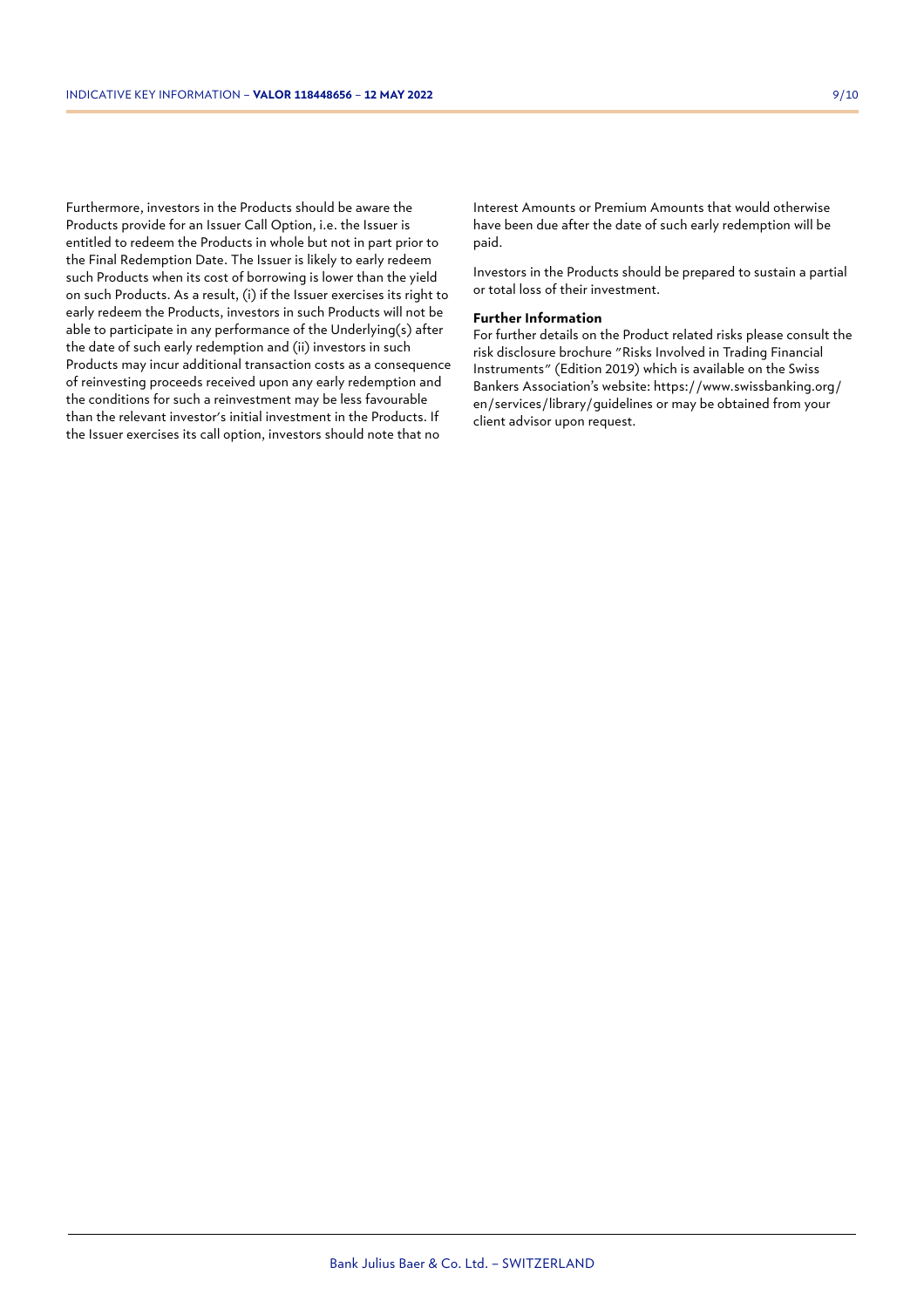Furthermore, investors in the Products should be aware the Products provide for an Issuer Call Option, i.e. the Issuer is entitled to redeem the Products in whole but not in part prior to the Final Redemption Date. The Issuer is likely to early redeem such Products when its cost of borrowing is lower than the yield on such Products. As a result, (i) if the Issuer exercises its right to early redeem the Products, investors in such Products will not be able to participate in any performance of the Underlying(s) after the date of such early redemption and (ii) investors in such Products may incur additional transaction costs as a consequence of reinvesting proceeds received upon any early redemption and the conditions for such a reinvestment may be less favourable than the relevant investor's initial investment in the Products. If the Issuer exercises its call option, investors should note that no

Interest Amounts or Premium Amounts that would otherwise have been due after the date of such early redemption will be paid.

Investors in the Products should be prepared to sustain a partial or total loss of their investment.

## **Further Information**

For further details on the Product related risks please consult the risk disclosure brochure "Risks Involved in Trading Financial Instruments" (Edition 2019) which is available on the Swiss Bankers Association's website: https://www.swissbanking.org/ en/services/library/guidelines or may be obtained from your client advisor upon request.